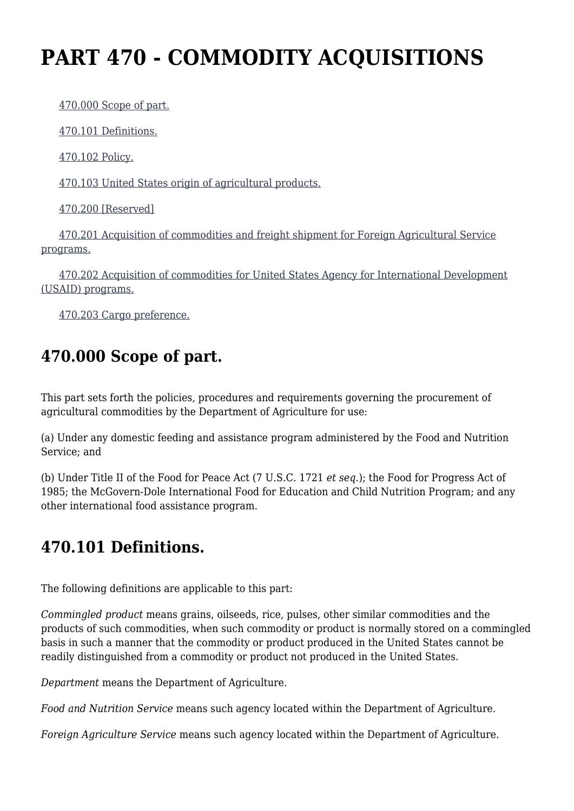# **PART 470 - COMMODITY ACQUISITIONS**

[470.000 Scope of part.](https://origin-www.acquisition.gov/%5Brp:link:agar-part-470%5D#Section_470_000_T48_4021953011)

[470.101 Definitions.](https://origin-www.acquisition.gov/%5Brp:link:agar-part-470%5D#Section_470_101_T48_4021953012)

[470.102 Policy.](https://origin-www.acquisition.gov/%5Brp:link:agar-part-470%5D#Section_470_102_T48_4021953013)

[470.103 United States origin of agricultural products.](https://origin-www.acquisition.gov/%5Brp:link:agar-part-470%5D#Section_470_103_T48_4021953014)

[470.200 \[Reserved\]](https://origin-www.acquisition.gov/%5Brp:link:agar-part-470%5D#Section_470_200_T48_4021953015)

 [470.201 Acquisition of commodities and freight shipment for Foreign Agricultural Service](https://origin-www.acquisition.gov/%5Brp:link:agar-part-470%5D#Section_470_201_T48_4021953016) [programs.](https://origin-www.acquisition.gov/%5Brp:link:agar-part-470%5D#Section_470_201_T48_4021953016)

 [470.202 Acquisition of commodities for United States Agency for International Development](https://origin-www.acquisition.gov/%5Brp:link:agar-part-470%5D#Section_470_202_T48_4021953017) [\(USAID\) programs.](https://origin-www.acquisition.gov/%5Brp:link:agar-part-470%5D#Section_470_202_T48_4021953017)

[470.203 Cargo preference.](https://origin-www.acquisition.gov/%5Brp:link:agar-part-470%5D#Section_470_203_T48_4021953018)

## **470.000 Scope of part.**

This part sets forth the policies, procedures and requirements governing the procurement of agricultural commodities by the Department of Agriculture for use:

(a) Under any domestic feeding and assistance program administered by the Food and Nutrition Service; and

(b) Under Title II of the Food for Peace Act (7 U.S.C. 1721 *et seq.*); the Food for Progress Act of 1985; the McGovern-Dole International Food for Education and Child Nutrition Program; and any other international food assistance program.

### **470.101 Definitions.**

The following definitions are applicable to this part:

*Commingled product* means grains, oilseeds, rice, pulses, other similar commodities and the products of such commodities, when such commodity or product is normally stored on a commingled basis in such a manner that the commodity or product produced in the United States cannot be readily distinguished from a commodity or product not produced in the United States.

*Department* means the Department of Agriculture.

*Food and Nutrition Service* means such agency located within the Department of Agriculture.

*Foreign Agriculture Service* means such agency located within the Department of Agriculture.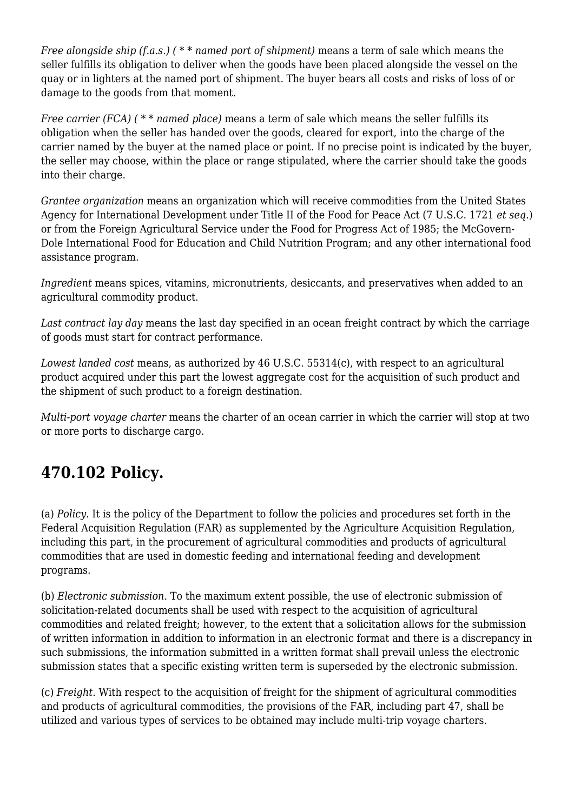*Free alongside ship (f.a.s.) ( \* \* named port of shipment)* means a term of sale which means the seller fulfills its obligation to deliver when the goods have been placed alongside the vessel on the quay or in lighters at the named port of shipment. The buyer bears all costs and risks of loss of or damage to the goods from that moment.

*Free carrier (FCA) ( \* \* named place)* means a term of sale which means the seller fulfills its obligation when the seller has handed over the goods, cleared for export, into the charge of the carrier named by the buyer at the named place or point. If no precise point is indicated by the buyer, the seller may choose, within the place or range stipulated, where the carrier should take the goods into their charge.

*Grantee organization* means an organization which will receive commodities from the United States Agency for International Development under Title II of the Food for Peace Act (7 U.S.C. 1721 *et seq.*) or from the Foreign Agricultural Service under the Food for Progress Act of 1985; the McGovern-Dole International Food for Education and Child Nutrition Program; and any other international food assistance program.

*Ingredient* means spices, vitamins, micronutrients, desiccants, and preservatives when added to an agricultural commodity product.

*Last contract lay day* means the last day specified in an ocean freight contract by which the carriage of goods must start for contract performance.

*Lowest landed cost* means, as authorized by 46 U.S.C. 55314(c), with respect to an agricultural product acquired under this part the lowest aggregate cost for the acquisition of such product and the shipment of such product to a foreign destination.

*Multi-port voyage charter* means the charter of an ocean carrier in which the carrier will stop at two or more ports to discharge cargo.

### **470.102 Policy.**

(a) *Policy.* It is the policy of the Department to follow the policies and procedures set forth in the Federal Acquisition Regulation (FAR) as supplemented by the Agriculture Acquisition Regulation, including this part, in the procurement of agricultural commodities and products of agricultural commodities that are used in domestic feeding and international feeding and development programs.

(b) *Electronic submission.* To the maximum extent possible, the use of electronic submission of solicitation-related documents shall be used with respect to the acquisition of agricultural commodities and related freight; however, to the extent that a solicitation allows for the submission of written information in addition to information in an electronic format and there is a discrepancy in such submissions, the information submitted in a written format shall prevail unless the electronic submission states that a specific existing written term is superseded by the electronic submission.

(c) *Freight.* With respect to the acquisition of freight for the shipment of agricultural commodities and products of agricultural commodities, the provisions of the FAR, including part 47, shall be utilized and various types of services to be obtained may include multi-trip voyage charters.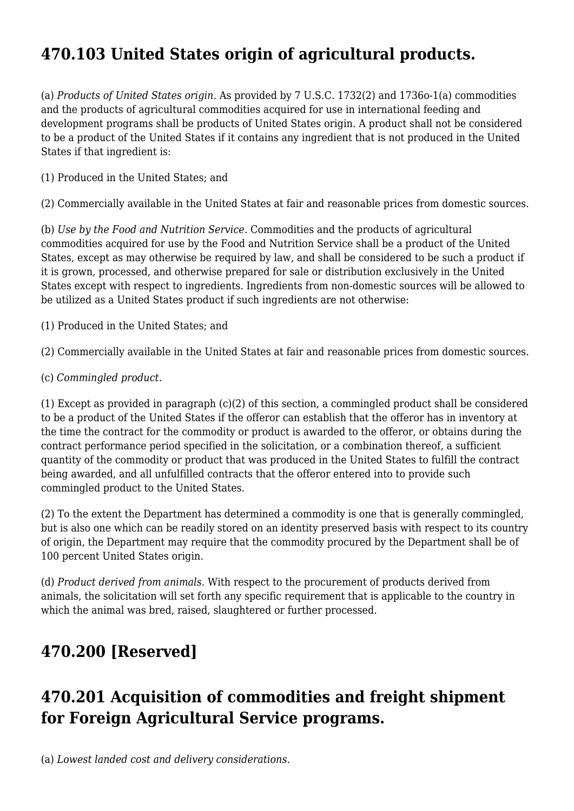# **470.103 United States origin of agricultural products.**

(a) *Products of United States origin.* As provided by 7 U.S.C. 1732(2) and 1736o-1(a) commodities and the products of agricultural commodities acquired for use in international feeding and development programs shall be products of United States origin. A product shall not be considered to be a product of the United States if it contains any ingredient that is not produced in the United States if that ingredient is:

(1) Produced in the United States; and

(2) Commercially available in the United States at fair and reasonable prices from domestic sources.

(b) *Use by the Food and Nutrition Service.* Commodities and the products of agricultural commodities acquired for use by the Food and Nutrition Service shall be a product of the United States, except as may otherwise be required by law, and shall be considered to be such a product if it is grown, processed, and otherwise prepared for sale or distribution exclusively in the United States except with respect to ingredients. Ingredients from non-domestic sources will be allowed to be utilized as a United States product if such ingredients are not otherwise:

(1) Produced in the United States; and

(2) Commercially available in the United States at fair and reasonable prices from domestic sources.

(c) *Commingled product.*

(1) Except as provided in paragraph (c)(2) of this section, a commingled product shall be considered to be a product of the United States if the offeror can establish that the offeror has in inventory at the time the contract for the commodity or product is awarded to the offeror, or obtains during the contract performance period specified in the solicitation, or a combination thereof, a sufficient quantity of the commodity or product that was produced in the United States to fulfill the contract being awarded, and all unfulfilled contracts that the offeror entered into to provide such commingled product to the United States.

(2) To the extent the Department has determined a commodity is one that is generally commingled, but is also one which can be readily stored on an identity preserved basis with respect to its country of origin, the Department may require that the commodity procured by the Department shall be of 100 percent United States origin.

(d) *Product derived from animals.* With respect to the procurement of products derived from animals, the solicitation will set forth any specific requirement that is applicable to the country in which the animal was bred, raised, slaughtered or further processed.

### **470.200 [Reserved]**

### **470.201 Acquisition of commodities and freight shipment for Foreign Agricultural Service programs.**

(a) *Lowest landed cost and delivery considerations.*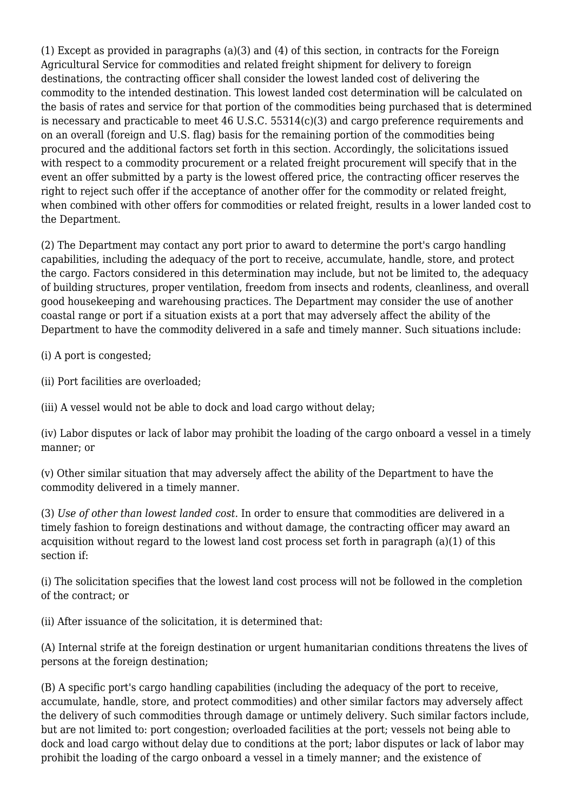(1) Except as provided in paragraphs (a)(3) and (4) of this section, in contracts for the Foreign Agricultural Service for commodities and related freight shipment for delivery to foreign destinations, the contracting officer shall consider the lowest landed cost of delivering the commodity to the intended destination. This lowest landed cost determination will be calculated on the basis of rates and service for that portion of the commodities being purchased that is determined is necessary and practicable to meet 46 U.S.C. 55314(c)(3) and cargo preference requirements and on an overall (foreign and U.S. flag) basis for the remaining portion of the commodities being procured and the additional factors set forth in this section. Accordingly, the solicitations issued with respect to a commodity procurement or a related freight procurement will specify that in the event an offer submitted by a party is the lowest offered price, the contracting officer reserves the right to reject such offer if the acceptance of another offer for the commodity or related freight, when combined with other offers for commodities or related freight, results in a lower landed cost to the Department.

(2) The Department may contact any port prior to award to determine the port's cargo handling capabilities, including the adequacy of the port to receive, accumulate, handle, store, and protect the cargo. Factors considered in this determination may include, but not be limited to, the adequacy of building structures, proper ventilation, freedom from insects and rodents, cleanliness, and overall good housekeeping and warehousing practices. The Department may consider the use of another coastal range or port if a situation exists at a port that may adversely affect the ability of the Department to have the commodity delivered in a safe and timely manner. Such situations include:

(i) A port is congested;

(ii) Port facilities are overloaded;

(iii) A vessel would not be able to dock and load cargo without delay;

(iv) Labor disputes or lack of labor may prohibit the loading of the cargo onboard a vessel in a timely manner; or

(v) Other similar situation that may adversely affect the ability of the Department to have the commodity delivered in a timely manner.

(3) *Use of other than lowest landed cost.* In order to ensure that commodities are delivered in a timely fashion to foreign destinations and without damage, the contracting officer may award an acquisition without regard to the lowest land cost process set forth in paragraph (a)(1) of this section if:

(i) The solicitation specifies that the lowest land cost process will not be followed in the completion of the contract; or

(ii) After issuance of the solicitation, it is determined that:

(A) Internal strife at the foreign destination or urgent humanitarian conditions threatens the lives of persons at the foreign destination;

(B) A specific port's cargo handling capabilities (including the adequacy of the port to receive, accumulate, handle, store, and protect commodities) and other similar factors may adversely affect the delivery of such commodities through damage or untimely delivery. Such similar factors include, but are not limited to: port congestion; overloaded facilities at the port; vessels not being able to dock and load cargo without delay due to conditions at the port; labor disputes or lack of labor may prohibit the loading of the cargo onboard a vessel in a timely manner; and the existence of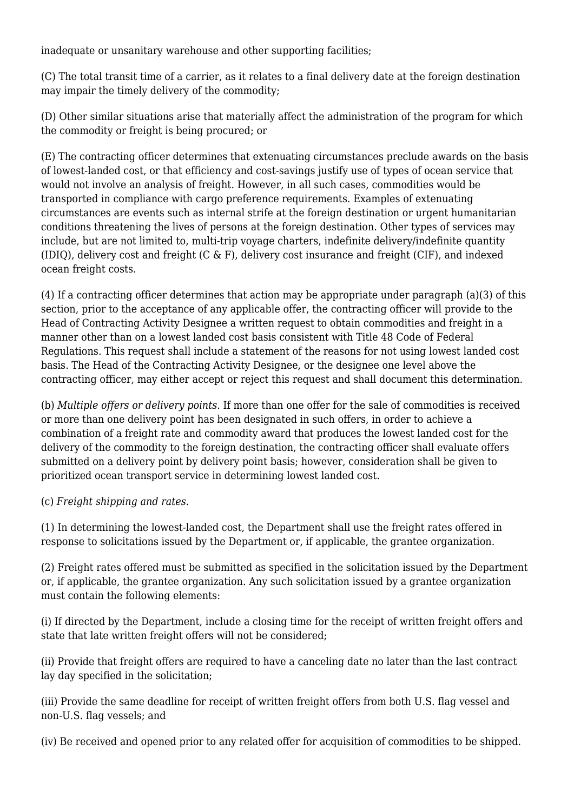inadequate or unsanitary warehouse and other supporting facilities;

(C) The total transit time of a carrier, as it relates to a final delivery date at the foreign destination may impair the timely delivery of the commodity;

(D) Other similar situations arise that materially affect the administration of the program for which the commodity or freight is being procured; or

(E) The contracting officer determines that extenuating circumstances preclude awards on the basis of lowest-landed cost, or that efficiency and cost-savings justify use of types of ocean service that would not involve an analysis of freight. However, in all such cases, commodities would be transported in compliance with cargo preference requirements. Examples of extenuating circumstances are events such as internal strife at the foreign destination or urgent humanitarian conditions threatening the lives of persons at the foreign destination. Other types of services may include, but are not limited to, multi-trip voyage charters, indefinite delivery/indefinite quantity (IDIQ), delivery cost and freight (C & F), delivery cost insurance and freight (CIF), and indexed ocean freight costs.

(4) If a contracting officer determines that action may be appropriate under paragraph (a)(3) of this section, prior to the acceptance of any applicable offer, the contracting officer will provide to the Head of Contracting Activity Designee a written request to obtain commodities and freight in a manner other than on a lowest landed cost basis consistent with Title 48 Code of Federal Regulations. This request shall include a statement of the reasons for not using lowest landed cost basis. The Head of the Contracting Activity Designee, or the designee one level above the contracting officer, may either accept or reject this request and shall document this determination.

(b) *Multiple offers or delivery points.* If more than one offer for the sale of commodities is received or more than one delivery point has been designated in such offers, in order to achieve a combination of a freight rate and commodity award that produces the lowest landed cost for the delivery of the commodity to the foreign destination, the contracting officer shall evaluate offers submitted on a delivery point by delivery point basis; however, consideration shall be given to prioritized ocean transport service in determining lowest landed cost.

(c) *Freight shipping and rates.*

(1) In determining the lowest-landed cost, the Department shall use the freight rates offered in response to solicitations issued by the Department or, if applicable, the grantee organization.

(2) Freight rates offered must be submitted as specified in the solicitation issued by the Department or, if applicable, the grantee organization. Any such solicitation issued by a grantee organization must contain the following elements:

(i) If directed by the Department, include a closing time for the receipt of written freight offers and state that late written freight offers will not be considered;

(ii) Provide that freight offers are required to have a canceling date no later than the last contract lay day specified in the solicitation;

(iii) Provide the same deadline for receipt of written freight offers from both U.S. flag vessel and non-U.S. flag vessels; and

(iv) Be received and opened prior to any related offer for acquisition of commodities to be shipped.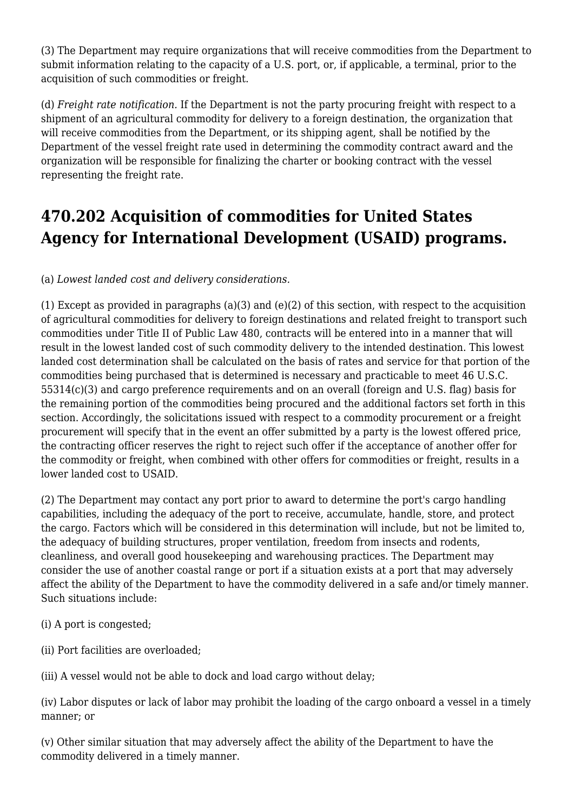(3) The Department may require organizations that will receive commodities from the Department to submit information relating to the capacity of a U.S. port, or, if applicable, a terminal, prior to the acquisition of such commodities or freight.

(d) *Freight rate notification.* If the Department is not the party procuring freight with respect to a shipment of an agricultural commodity for delivery to a foreign destination, the organization that will receive commodities from the Department, or its shipping agent, shall be notified by the Department of the vessel freight rate used in determining the commodity contract award and the organization will be responsible for finalizing the charter or booking contract with the vessel representing the freight rate.

#### **470.202 Acquisition of commodities for United States Agency for International Development (USAID) programs.**

(a) *Lowest landed cost and delivery considerations.*

(1) Except as provided in paragraphs (a)(3) and (e)(2) of this section, with respect to the acquisition of agricultural commodities for delivery to foreign destinations and related freight to transport such commodities under Title II of Public Law 480, contracts will be entered into in a manner that will result in the lowest landed cost of such commodity delivery to the intended destination. This lowest landed cost determination shall be calculated on the basis of rates and service for that portion of the commodities being purchased that is determined is necessary and practicable to meet 46 U.S.C. 55314(c)(3) and cargo preference requirements and on an overall (foreign and U.S. flag) basis for the remaining portion of the commodities being procured and the additional factors set forth in this section. Accordingly, the solicitations issued with respect to a commodity procurement or a freight procurement will specify that in the event an offer submitted by a party is the lowest offered price, the contracting officer reserves the right to reject such offer if the acceptance of another offer for the commodity or freight, when combined with other offers for commodities or freight, results in a lower landed cost to USAID.

(2) The Department may contact any port prior to award to determine the port's cargo handling capabilities, including the adequacy of the port to receive, accumulate, handle, store, and protect the cargo. Factors which will be considered in this determination will include, but not be limited to, the adequacy of building structures, proper ventilation, freedom from insects and rodents, cleanliness, and overall good housekeeping and warehousing practices. The Department may consider the use of another coastal range or port if a situation exists at a port that may adversely affect the ability of the Department to have the commodity delivered in a safe and/or timely manner. Such situations include:

- (i) A port is congested;
- (ii) Port facilities are overloaded;
- (iii) A vessel would not be able to dock and load cargo without delay;

(iv) Labor disputes or lack of labor may prohibit the loading of the cargo onboard a vessel in a timely manner; or

(v) Other similar situation that may adversely affect the ability of the Department to have the commodity delivered in a timely manner.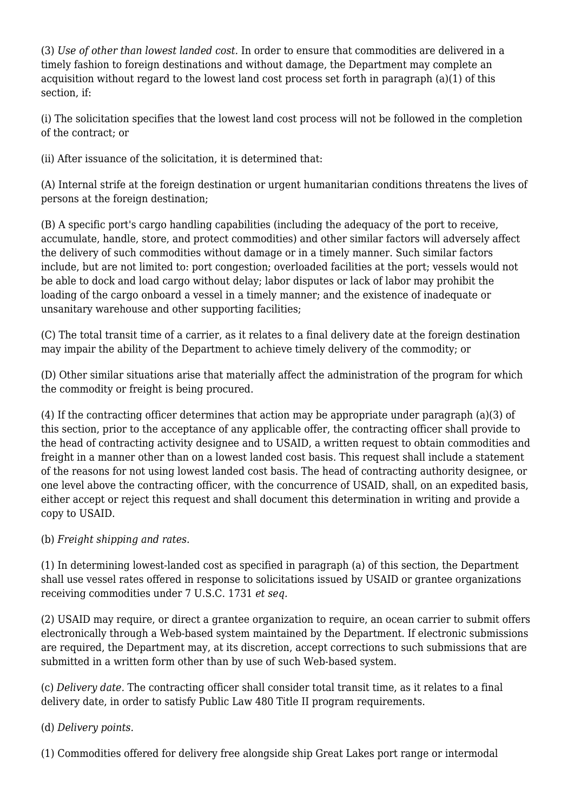(3) *Use of other than lowest landed cost.* In order to ensure that commodities are delivered in a timely fashion to foreign destinations and without damage, the Department may complete an acquisition without regard to the lowest land cost process set forth in paragraph (a)(1) of this section, if:

(i) The solicitation specifies that the lowest land cost process will not be followed in the completion of the contract; or

(ii) After issuance of the solicitation, it is determined that:

(A) Internal strife at the foreign destination or urgent humanitarian conditions threatens the lives of persons at the foreign destination;

(B) A specific port's cargo handling capabilities (including the adequacy of the port to receive, accumulate, handle, store, and protect commodities) and other similar factors will adversely affect the delivery of such commodities without damage or in a timely manner. Such similar factors include, but are not limited to: port congestion; overloaded facilities at the port; vessels would not be able to dock and load cargo without delay; labor disputes or lack of labor may prohibit the loading of the cargo onboard a vessel in a timely manner; and the existence of inadequate or unsanitary warehouse and other supporting facilities;

(C) The total transit time of a carrier, as it relates to a final delivery date at the foreign destination may impair the ability of the Department to achieve timely delivery of the commodity; or

(D) Other similar situations arise that materially affect the administration of the program for which the commodity or freight is being procured.

(4) If the contracting officer determines that action may be appropriate under paragraph (a)(3) of this section, prior to the acceptance of any applicable offer, the contracting officer shall provide to the head of contracting activity designee and to USAID, a written request to obtain commodities and freight in a manner other than on a lowest landed cost basis. This request shall include a statement of the reasons for not using lowest landed cost basis. The head of contracting authority designee, or one level above the contracting officer, with the concurrence of USAID, shall, on an expedited basis, either accept or reject this request and shall document this determination in writing and provide a copy to USAID.

#### (b) *Freight shipping and rates.*

(1) In determining lowest-landed cost as specified in paragraph (a) of this section, the Department shall use vessel rates offered in response to solicitations issued by USAID or grantee organizations receiving commodities under 7 U.S.C. 1731 *et seq.*

(2) USAID may require, or direct a grantee organization to require, an ocean carrier to submit offers electronically through a Web-based system maintained by the Department. If electronic submissions are required, the Department may, at its discretion, accept corrections to such submissions that are submitted in a written form other than by use of such Web-based system.

(c) *Delivery date.* The contracting officer shall consider total transit time, as it relates to a final delivery date, in order to satisfy Public Law 480 Title II program requirements.

#### (d) *Delivery points.*

(1) Commodities offered for delivery free alongside ship Great Lakes port range or intermodal